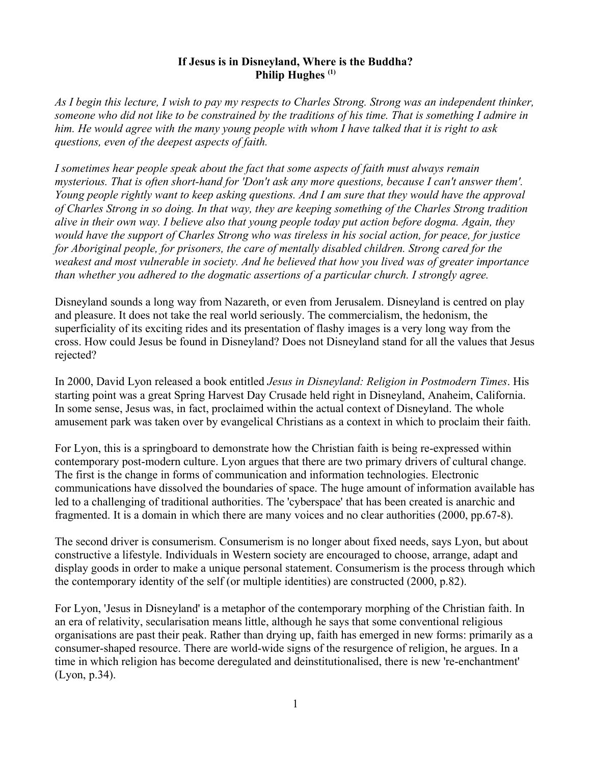#### **If Jesus is in Disneyland, Where is the Buddha? Philip Hughes (1)**

*As I begin this lecture, I wish to pay my respects to Charles Strong. Strong was an independent thinker, someone who did not like to be constrained by the traditions of his time. That is something I admire in him. He would agree with the many young people with whom I have talked that it is right to ask questions, even of the deepest aspects of faith.*

*I sometimes hear people speak about the fact that some aspects of faith must always remain mysterious. That is often short-hand for 'Don't ask any more questions, because I can't answer them'. Young people rightly want to keep asking questions. And I am sure that they would have the approval of Charles Strong in so doing. In that way, they are keeping something of the Charles Strong tradition alive in their own way. I believe also that young people today put action before dogma. Again, they would have the support of Charles Strong who was tireless in his social action, for peace, for justice for Aboriginal people, for prisoners, the care of mentally disabled children. Strong cared for the weakest and most vulnerable in society. And he believed that how you lived was of greater importance than whether you adhered to the dogmatic assertions of a particular church. I strongly agree.* 

Disneyland sounds a long way from Nazareth, or even from Jerusalem. Disneyland is centred on play and pleasure. It does not take the real world seriously. The commercialism, the hedonism, the superficiality of its exciting rides and its presentation of flashy images is a very long way from the cross. How could Jesus be found in Disneyland? Does not Disneyland stand for all the values that Jesus rejected?

In 2000, David Lyon released a book entitled *Jesus in Disneyland: Religion in Postmodern Times*. His starting point was a great Spring Harvest Day Crusade held right in Disneyland, Anaheim, California. In some sense, Jesus was, in fact, proclaimed within the actual context of Disneyland. The whole amusement park was taken over by evangelical Christians as a context in which to proclaim their faith.

For Lyon, this is a springboard to demonstrate how the Christian faith is being re-expressed within contemporary post-modern culture. Lyon argues that there are two primary drivers of cultural change. The first is the change in forms of communication and information technologies. Electronic communications have dissolved the boundaries of space. The huge amount of information available has led to a challenging of traditional authorities. The 'cyberspace' that has been created is anarchic and fragmented. It is a domain in which there are many voices and no clear authorities (2000, pp.67-8).

The second driver is consumerism. Consumerism is no longer about fixed needs, says Lyon, but about constructive a lifestyle. Individuals in Western society are encouraged to choose, arrange, adapt and display goods in order to make a unique personal statement. Consumerism is the process through which the contemporary identity of the self (or multiple identities) are constructed (2000, p.82).

For Lyon, 'Jesus in Disneyland' is a metaphor of the contemporary morphing of the Christian faith. In an era of relativity, secularisation means little, although he says that some conventional religious organisations are past their peak. Rather than drying up, faith has emerged in new forms: primarily as a consumer-shaped resource. There are world-wide signs of the resurgence of religion, he argues. In a time in which religion has become deregulated and deinstitutionalised, there is new 're-enchantment' (Lyon, p.34).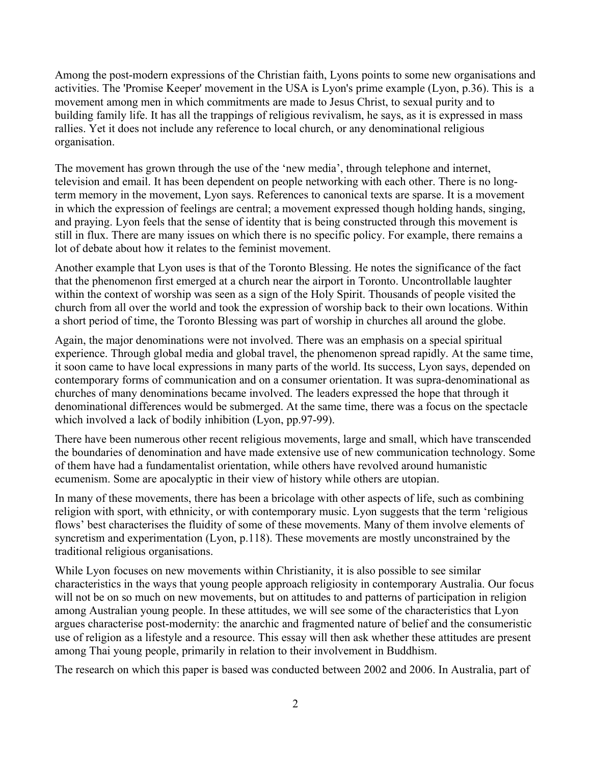Among the post-modern expressions of the Christian faith, Lyons points to some new organisations and activities. The 'Promise Keeper' movement in the USA is Lyon's prime example (Lyon, p.36). This is a movement among men in which commitments are made to Jesus Christ, to sexual purity and to building family life. It has all the trappings of religious revivalism, he says, as it is expressed in mass rallies. Yet it does not include any reference to local church, or any denominational religious organisation.

The movement has grown through the use of the 'new media', through telephone and internet, television and email. It has been dependent on people networking with each other. There is no longterm memory in the movement, Lyon says. References to canonical texts are sparse. It is a movement in which the expression of feelings are central; a movement expressed though holding hands, singing, and praying. Lyon feels that the sense of identity that is being constructed through this movement is still in flux. There are many issues on which there is no specific policy. For example, there remains a lot of debate about how it relates to the feminist movement.

Another example that Lyon uses is that of the Toronto Blessing. He notes the significance of the fact that the phenomenon first emerged at a church near the airport in Toronto. Uncontrollable laughter within the context of worship was seen as a sign of the Holy Spirit. Thousands of people visited the church from all over the world and took the expression of worship back to their own locations. Within a short period of time, the Toronto Blessing was part of worship in churches all around the globe.

Again, the major denominations were not involved. There was an emphasis on a special spiritual experience. Through global media and global travel, the phenomenon spread rapidly. At the same time, it soon came to have local expressions in many parts of the world. Its success, Lyon says, depended on contemporary forms of communication and on a consumer orientation. It was supra-denominational as churches of many denominations became involved. The leaders expressed the hope that through it denominational differences would be submerged. At the same time, there was a focus on the spectacle which involved a lack of bodily inhibition (Lyon, pp.97-99).

There have been numerous other recent religious movements, large and small, which have transcended the boundaries of denomination and have made extensive use of new communication technology. Some of them have had a fundamentalist orientation, while others have revolved around humanistic ecumenism. Some are apocalyptic in their view of history while others are utopian.

In many of these movements, there has been a bricolage with other aspects of life, such as combining religion with sport, with ethnicity, or with contemporary music. Lyon suggests that the term 'religious flows' best characterises the fluidity of some of these movements. Many of them involve elements of syncretism and experimentation (Lyon, p.118). These movements are mostly unconstrained by the traditional religious organisations.

While Lyon focuses on new movements within Christianity, it is also possible to see similar characteristics in the ways that young people approach religiosity in contemporary Australia. Our focus will not be on so much on new movements, but on attitudes to and patterns of participation in religion among Australian young people. In these attitudes, we will see some of the characteristics that Lyon argues characterise post-modernity: the anarchic and fragmented nature of belief and the consumeristic use of religion as a lifestyle and a resource. This essay will then ask whether these attitudes are present among Thai young people, primarily in relation to their involvement in Buddhism.

The research on which this paper is based was conducted between 2002 and 2006. In Australia, part of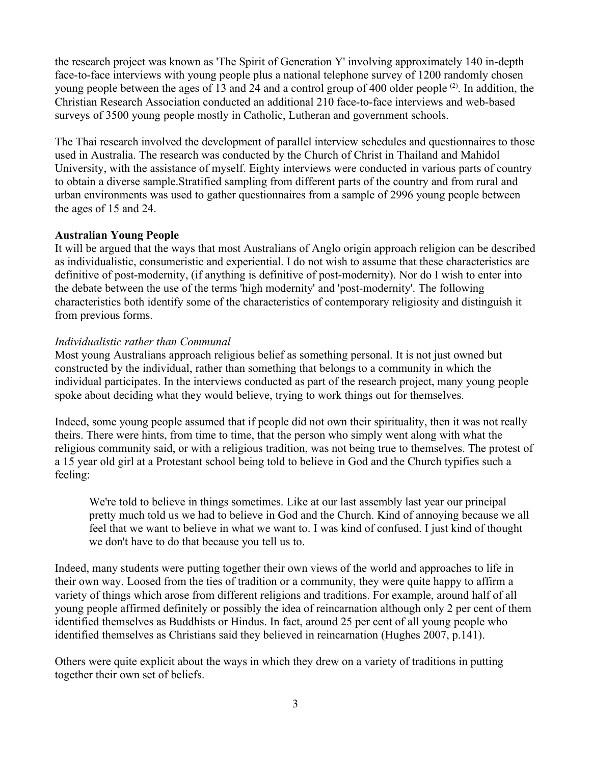the research project was known as 'The Spirit of Generation Y' involving approximately 140 in-depth face-to-face interviews with young people plus a national telephone survey of 1200 randomly chosen young people between the ages of 13 and 24 and a control group of 400 older people (2). In addition, the Christian Research Association conducted an additional 210 face-to-face interviews and web-based surveys of 3500 young people mostly in Catholic, Lutheran and government schools.

The Thai research involved the development of parallel interview schedules and questionnaires to those used in Australia. The research was conducted by the Church of Christ in Thailand and Mahidol University, with the assistance of myself. Eighty interviews were conducted in various parts of country to obtain a diverse sample.Stratified sampling from different parts of the country and from rural and urban environments was used to gather questionnaires from a sample of 2996 young people between the ages of 15 and 24.

## **Australian Young People**

It will be argued that the ways that most Australians of Anglo origin approach religion can be described as individualistic, consumeristic and experiential. I do not wish to assume that these characteristics are definitive of post-modernity, (if anything is definitive of post-modernity). Nor do I wish to enter into the debate between the use of the terms 'high modernity' and 'post-modernity'. The following characteristics both identify some of the characteristics of contemporary religiosity and distinguish it from previous forms.

## *Individualistic rather than Communal*

Most young Australians approach religious belief as something personal. It is not just owned but constructed by the individual, rather than something that belongs to a community in which the individual participates. In the interviews conducted as part of the research project, many young people spoke about deciding what they would believe, trying to work things out for themselves.

Indeed, some young people assumed that if people did not own their spirituality, then it was not really theirs. There were hints, from time to time, that the person who simply went along with what the religious community said, or with a religious tradition, was not being true to themselves. The protest of a 15 year old girl at a Protestant school being told to believe in God and the Church typifies such a feeling:

We're told to believe in things sometimes. Like at our last assembly last year our principal pretty much told us we had to believe in God and the Church. Kind of annoying because we all feel that we want to believe in what we want to. I was kind of confused. I just kind of thought we don't have to do that because you tell us to.

Indeed, many students were putting together their own views of the world and approaches to life in their own way. Loosed from the ties of tradition or a community, they were quite happy to affirm a variety of things which arose from different religions and traditions. For example, around half of all young people affirmed definitely or possibly the idea of reincarnation although only 2 per cent of them identified themselves as Buddhists or Hindus. In fact, around 25 per cent of all young people who identified themselves as Christians said they believed in reincarnation (Hughes 2007, p.141).

Others were quite explicit about the ways in which they drew on a variety of traditions in putting together their own set of beliefs.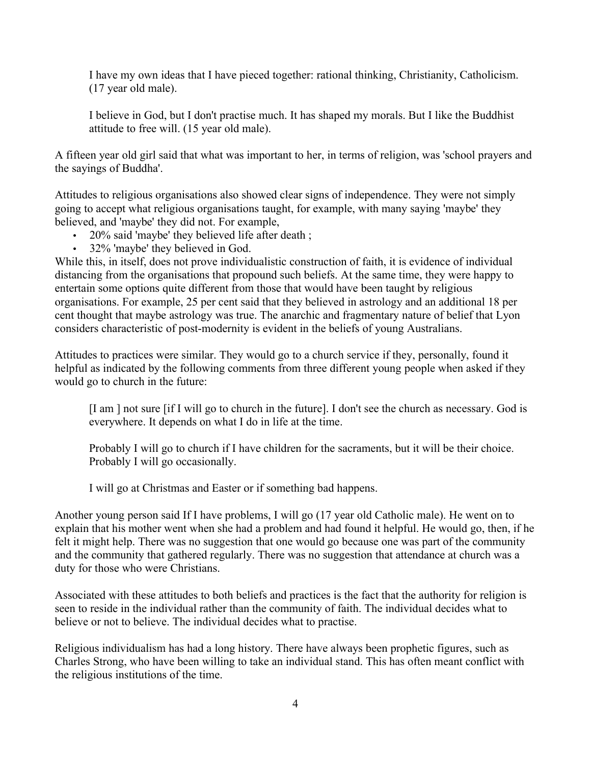I have my own ideas that I have pieced together: rational thinking, Christianity, Catholicism. (17 year old male).

I believe in God, but I don't practise much. It has shaped my morals. But I like the Buddhist attitude to free will. (15 year old male).

A fifteen year old girl said that what was important to her, in terms of religion, was 'school prayers and the sayings of Buddha'.

Attitudes to religious organisations also showed clear signs of independence. They were not simply going to accept what religious organisations taught, for example, with many saying 'maybe' they believed, and 'maybe' they did not. For example,

- 20% said 'maybe' they believed life after death;
- 32% 'maybe' they believed in God.

While this, in itself, does not prove individualistic construction of faith, it is evidence of individual distancing from the organisations that propound such beliefs. At the same time, they were happy to entertain some options quite different from those that would have been taught by religious organisations. For example, 25 per cent said that they believed in astrology and an additional 18 per cent thought that maybe astrology was true. The anarchic and fragmentary nature of belief that Lyon considers characteristic of post-modernity is evident in the beliefs of young Australians.

Attitudes to practices were similar. They would go to a church service if they, personally, found it helpful as indicated by the following comments from three different young people when asked if they would go to church in the future:

[I am ] not sure [if I will go to church in the future]. I don't see the church as necessary. God is everywhere. It depends on what I do in life at the time.

Probably I will go to church if I have children for the sacraments, but it will be their choice. Probably I will go occasionally.

I will go at Christmas and Easter or if something bad happens.

Another young person said If I have problems, I will go (17 year old Catholic male). He went on to explain that his mother went when she had a problem and had found it helpful. He would go, then, if he felt it might help. There was no suggestion that one would go because one was part of the community and the community that gathered regularly. There was no suggestion that attendance at church was a duty for those who were Christians.

Associated with these attitudes to both beliefs and practices is the fact that the authority for religion is seen to reside in the individual rather than the community of faith. The individual decides what to believe or not to believe. The individual decides what to practise.

Religious individualism has had a long history. There have always been prophetic figures, such as Charles Strong, who have been willing to take an individual stand. This has often meant conflict with the religious institutions of the time.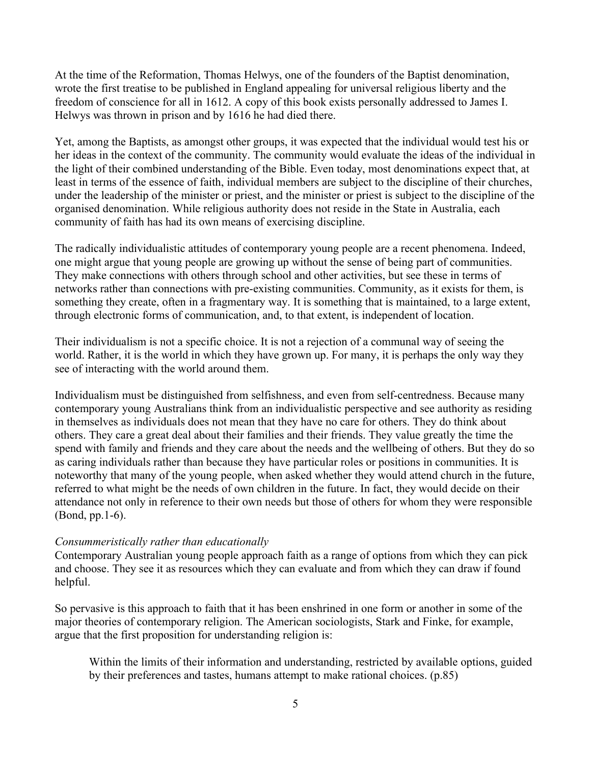At the time of the Reformation, Thomas Helwys, one of the founders of the Baptist denomination, wrote the first treatise to be published in England appealing for universal religious liberty and the freedom of conscience for all in 1612. A copy of this book exists personally addressed to James I. Helwys was thrown in prison and by 1616 he had died there.

Yet, among the Baptists, as amongst other groups, it was expected that the individual would test his or her ideas in the context of the community. The community would evaluate the ideas of the individual in the light of their combined understanding of the Bible. Even today, most denominations expect that, at least in terms of the essence of faith, individual members are subject to the discipline of their churches, under the leadership of the minister or priest, and the minister or priest is subject to the discipline of the organised denomination. While religious authority does not reside in the State in Australia, each community of faith has had its own means of exercising discipline.

The radically individualistic attitudes of contemporary young people are a recent phenomena. Indeed, one might argue that young people are growing up without the sense of being part of communities. They make connections with others through school and other activities, but see these in terms of networks rather than connections with pre-existing communities. Community, as it exists for them, is something they create, often in a fragmentary way. It is something that is maintained, to a large extent, through electronic forms of communication, and, to that extent, is independent of location.

Their individualism is not a specific choice. It is not a rejection of a communal way of seeing the world. Rather, it is the world in which they have grown up. For many, it is perhaps the only way they see of interacting with the world around them.

Individualism must be distinguished from selfishness, and even from self-centredness. Because many contemporary young Australians think from an individualistic perspective and see authority as residing in themselves as individuals does not mean that they have no care for others. They do think about others. They care a great deal about their families and their friends. They value greatly the time the spend with family and friends and they care about the needs and the wellbeing of others. But they do so as caring individuals rather than because they have particular roles or positions in communities. It is noteworthy that many of the young people, when asked whether they would attend church in the future, referred to what might be the needs of own children in the future. In fact, they would decide on their attendance not only in reference to their own needs but those of others for whom they were responsible (Bond, pp.1-6).

## *Consummeristically rather than educationally*

Contemporary Australian young people approach faith as a range of options from which they can pick and choose. They see it as resources which they can evaluate and from which they can draw if found helpful.

So pervasive is this approach to faith that it has been enshrined in one form or another in some of the major theories of contemporary religion. The American sociologists, Stark and Finke, for example, argue that the first proposition for understanding religion is:

Within the limits of their information and understanding, restricted by available options, guided by their preferences and tastes, humans attempt to make rational choices. (p.85)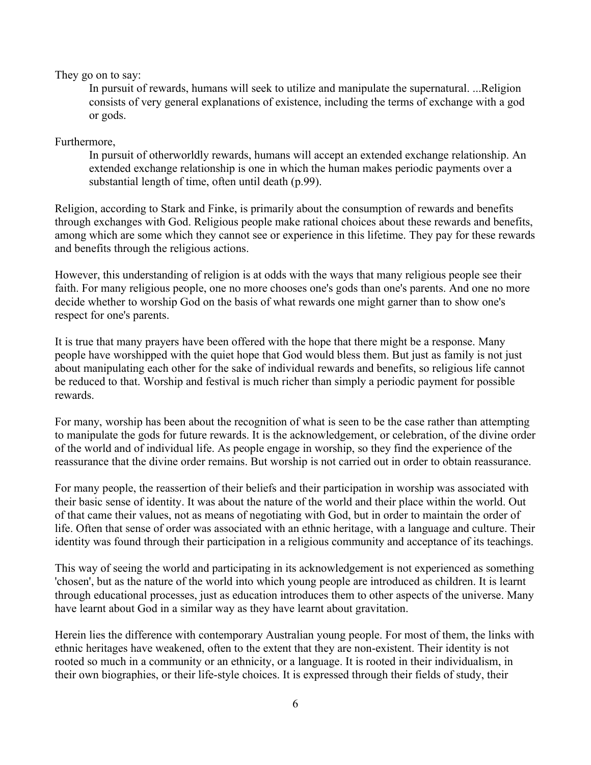They go on to say:

In pursuit of rewards, humans will seek to utilize and manipulate the supernatural. ...Religion consists of very general explanations of existence, including the terms of exchange with a god or gods.

Furthermore,

In pursuit of otherworldly rewards, humans will accept an extended exchange relationship. An extended exchange relationship is one in which the human makes periodic payments over a substantial length of time, often until death (p.99).

Religion, according to Stark and Finke, is primarily about the consumption of rewards and benefits through exchanges with God. Religious people make rational choices about these rewards and benefits, among which are some which they cannot see or experience in this lifetime. They pay for these rewards and benefits through the religious actions.

However, this understanding of religion is at odds with the ways that many religious people see their faith. For many religious people, one no more chooses one's gods than one's parents. And one no more decide whether to worship God on the basis of what rewards one might garner than to show one's respect for one's parents.

It is true that many prayers have been offered with the hope that there might be a response. Many people have worshipped with the quiet hope that God would bless them. But just as family is not just about manipulating each other for the sake of individual rewards and benefits, so religious life cannot be reduced to that. Worship and festival is much richer than simply a periodic payment for possible rewards.

For many, worship has been about the recognition of what is seen to be the case rather than attempting to manipulate the gods for future rewards. It is the acknowledgement, or celebration, of the divine order of the world and of individual life. As people engage in worship, so they find the experience of the reassurance that the divine order remains. But worship is not carried out in order to obtain reassurance.

For many people, the reassertion of their beliefs and their participation in worship was associated with their basic sense of identity. It was about the nature of the world and their place within the world. Out of that came their values, not as means of negotiating with God, but in order to maintain the order of life. Often that sense of order was associated with an ethnic heritage, with a language and culture. Their identity was found through their participation in a religious community and acceptance of its teachings.

This way of seeing the world and participating in its acknowledgement is not experienced as something 'chosen', but as the nature of the world into which young people are introduced as children. It is learnt through educational processes, just as education introduces them to other aspects of the universe. Many have learnt about God in a similar way as they have learnt about gravitation.

Herein lies the difference with contemporary Australian young people. For most of them, the links with ethnic heritages have weakened, often to the extent that they are non-existent. Their identity is not rooted so much in a community or an ethnicity, or a language. It is rooted in their individualism, in their own biographies, or their life-style choices. It is expressed through their fields of study, their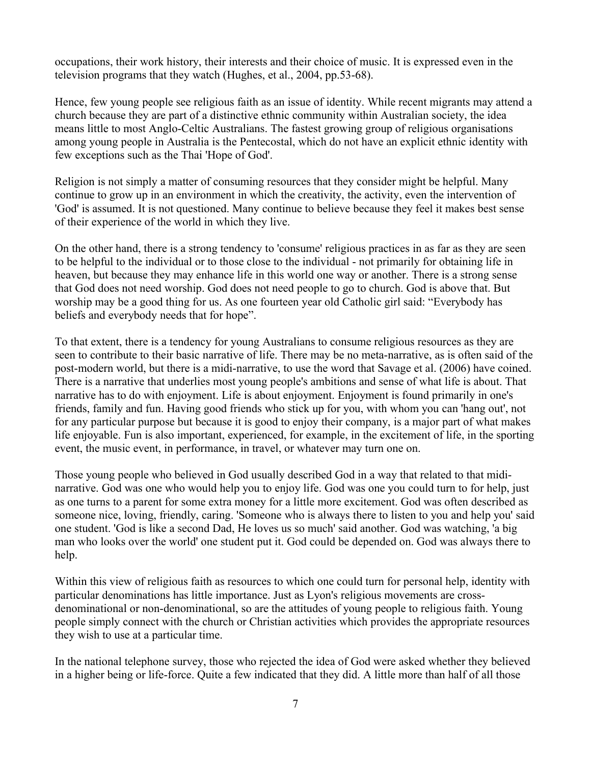occupations, their work history, their interests and their choice of music. It is expressed even in the television programs that they watch (Hughes, et al., 2004, pp.53-68).

Hence, few young people see religious faith as an issue of identity. While recent migrants may attend a church because they are part of a distinctive ethnic community within Australian society, the idea means little to most Anglo-Celtic Australians. The fastest growing group of religious organisations among young people in Australia is the Pentecostal, which do not have an explicit ethnic identity with few exceptions such as the Thai 'Hope of God'.

Religion is not simply a matter of consuming resources that they consider might be helpful. Many continue to grow up in an environment in which the creativity, the activity, even the intervention of 'God' is assumed. It is not questioned. Many continue to believe because they feel it makes best sense of their experience of the world in which they live.

On the other hand, there is a strong tendency to 'consume' religious practices in as far as they are seen to be helpful to the individual or to those close to the individual - not primarily for obtaining life in heaven, but because they may enhance life in this world one way or another. There is a strong sense that God does not need worship. God does not need people to go to church. God is above that. But worship may be a good thing for us. As one fourteen year old Catholic girl said: "Everybody has beliefs and everybody needs that for hope".

To that extent, there is a tendency for young Australians to consume religious resources as they are seen to contribute to their basic narrative of life. There may be no meta-narrative, as is often said of the post-modern world, but there is a midi-narrative, to use the word that Savage et al. (2006) have coined. There is a narrative that underlies most young people's ambitions and sense of what life is about. That narrative has to do with enjoyment. Life is about enjoyment. Enjoyment is found primarily in one's friends, family and fun. Having good friends who stick up for you, with whom you can 'hang out', not for any particular purpose but because it is good to enjoy their company, is a major part of what makes life enjoyable. Fun is also important, experienced, for example, in the excitement of life, in the sporting event, the music event, in performance, in travel, or whatever may turn one on.

Those young people who believed in God usually described God in a way that related to that midinarrative. God was one who would help you to enjoy life. God was one you could turn to for help, just as one turns to a parent for some extra money for a little more excitement. God was often described as someone nice, loving, friendly, caring. 'Someone who is always there to listen to you and help you' said one student. 'God is like a second Dad, He loves us so much' said another. God was watching, 'a big man who looks over the world' one student put it. God could be depended on. God was always there to help.

Within this view of religious faith as resources to which one could turn for personal help, identity with particular denominations has little importance. Just as Lyon's religious movements are crossdenominational or non-denominational, so are the attitudes of young people to religious faith. Young people simply connect with the church or Christian activities which provides the appropriate resources they wish to use at a particular time.

In the national telephone survey, those who rejected the idea of God were asked whether they believed in a higher being or life-force. Quite a few indicated that they did. A little more than half of all those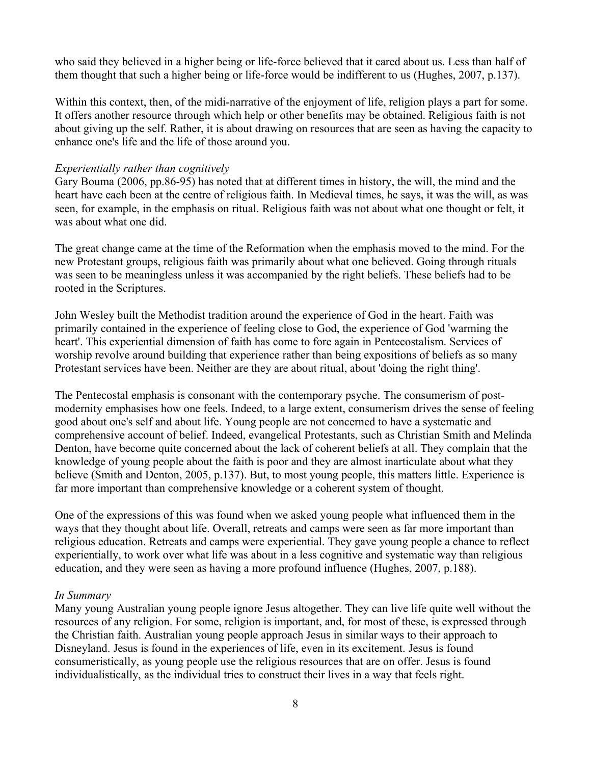who said they believed in a higher being or life-force believed that it cared about us. Less than half of them thought that such a higher being or life-force would be indifferent to us (Hughes, 2007, p.137).

Within this context, then, of the midi-narrative of the enjoyment of life, religion plays a part for some. It offers another resource through which help or other benefits may be obtained. Religious faith is not about giving up the self. Rather, it is about drawing on resources that are seen as having the capacity to enhance one's life and the life of those around you.

#### *Experientially rather than cognitively*

Gary Bouma (2006, pp.86-95) has noted that at different times in history, the will, the mind and the heart have each been at the centre of religious faith. In Medieval times, he says, it was the will, as was seen, for example, in the emphasis on ritual. Religious faith was not about what one thought or felt, it was about what one did.

The great change came at the time of the Reformation when the emphasis moved to the mind. For the new Protestant groups, religious faith was primarily about what one believed. Going through rituals was seen to be meaningless unless it was accompanied by the right beliefs. These beliefs had to be rooted in the Scriptures.

John Wesley built the Methodist tradition around the experience of God in the heart. Faith was primarily contained in the experience of feeling close to God, the experience of God 'warming the heart'. This experiential dimension of faith has come to fore again in Pentecostalism. Services of worship revolve around building that experience rather than being expositions of beliefs as so many Protestant services have been. Neither are they are about ritual, about 'doing the right thing'.

The Pentecostal emphasis is consonant with the contemporary psyche. The consumerism of postmodernity emphasises how one feels. Indeed, to a large extent, consumerism drives the sense of feeling good about one's self and about life. Young people are not concerned to have a systematic and comprehensive account of belief. Indeed, evangelical Protestants, such as Christian Smith and Melinda Denton, have become quite concerned about the lack of coherent beliefs at all. They complain that the knowledge of young people about the faith is poor and they are almost inarticulate about what they believe (Smith and Denton, 2005, p.137). But, to most young people, this matters little. Experience is far more important than comprehensive knowledge or a coherent system of thought.

One of the expressions of this was found when we asked young people what influenced them in the ways that they thought about life. Overall, retreats and camps were seen as far more important than religious education. Retreats and camps were experiential. They gave young people a chance to reflect experientially, to work over what life was about in a less cognitive and systematic way than religious education, and they were seen as having a more profound influence (Hughes, 2007, p.188).

#### *In Summary*

Many young Australian young people ignore Jesus altogether. They can live life quite well without the resources of any religion. For some, religion is important, and, for most of these, is expressed through the Christian faith. Australian young people approach Jesus in similar ways to their approach to Disneyland. Jesus is found in the experiences of life, even in its excitement. Jesus is found consumeristically, as young people use the religious resources that are on offer. Jesus is found individualistically, as the individual tries to construct their lives in a way that feels right.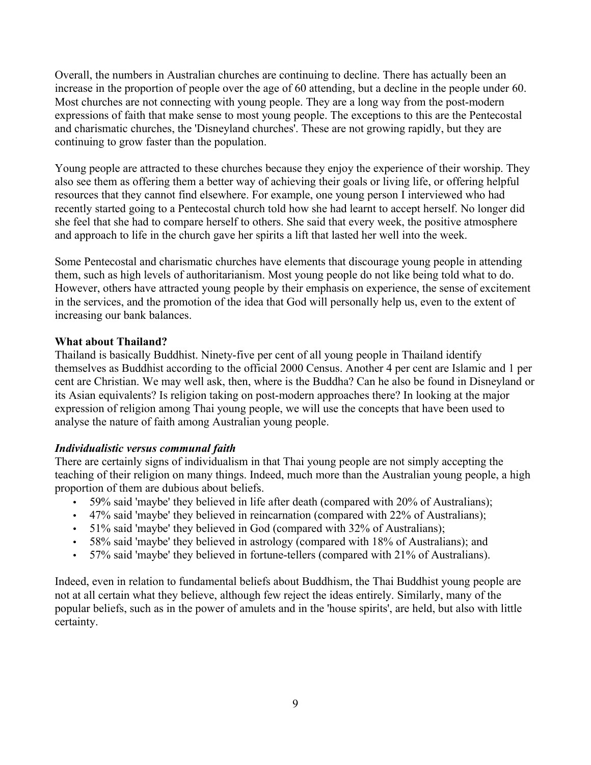Overall, the numbers in Australian churches are continuing to decline. There has actually been an increase in the proportion of people over the age of 60 attending, but a decline in the people under 60. Most churches are not connecting with young people. They are a long way from the post-modern expressions of faith that make sense to most young people. The exceptions to this are the Pentecostal and charismatic churches, the 'Disneyland churches'. These are not growing rapidly, but they are continuing to grow faster than the population.

Young people are attracted to these churches because they enjoy the experience of their worship. They also see them as offering them a better way of achieving their goals or living life, or offering helpful resources that they cannot find elsewhere. For example, one young person I interviewed who had recently started going to a Pentecostal church told how she had learnt to accept herself. No longer did she feel that she had to compare herself to others. She said that every week, the positive atmosphere and approach to life in the church gave her spirits a lift that lasted her well into the week.

Some Pentecostal and charismatic churches have elements that discourage young people in attending them, such as high levels of authoritarianism. Most young people do not like being told what to do. However, others have attracted young people by their emphasis on experience, the sense of excitement in the services, and the promotion of the idea that God will personally help us, even to the extent of increasing our bank balances.

## **What about Thailand?**

Thailand is basically Buddhist. Ninety-five per cent of all young people in Thailand identify themselves as Buddhist according to the official 2000 Census. Another 4 per cent are Islamic and 1 per cent are Christian. We may well ask, then, where is the Buddha? Can he also be found in Disneyland or its Asian equivalents? Is religion taking on post-modern approaches there? In looking at the major expression of religion among Thai young people, we will use the concepts that have been used to analyse the nature of faith among Australian young people.

# *Individualistic versus communal faith*

There are certainly signs of individualism in that Thai young people are not simply accepting the teaching of their religion on many things. Indeed, much more than the Australian young people, a high proportion of them are dubious about beliefs.

- 59% said 'maybe' they believed in life after death (compared with 20% of Australians);
- 47% said 'maybe' they believed in reincarnation (compared with 22% of Australians);
- 51% said 'maybe' they believed in God (compared with 32% of Australians);
- 58% said 'maybe' they believed in astrology (compared with 18% of Australians); and
- 57% said 'maybe' they believed in fortune-tellers (compared with 21% of Australians).

Indeed, even in relation to fundamental beliefs about Buddhism, the Thai Buddhist young people are not at all certain what they believe, although few reject the ideas entirely. Similarly, many of the popular beliefs, such as in the power of amulets and in the 'house spirits', are held, but also with little certainty.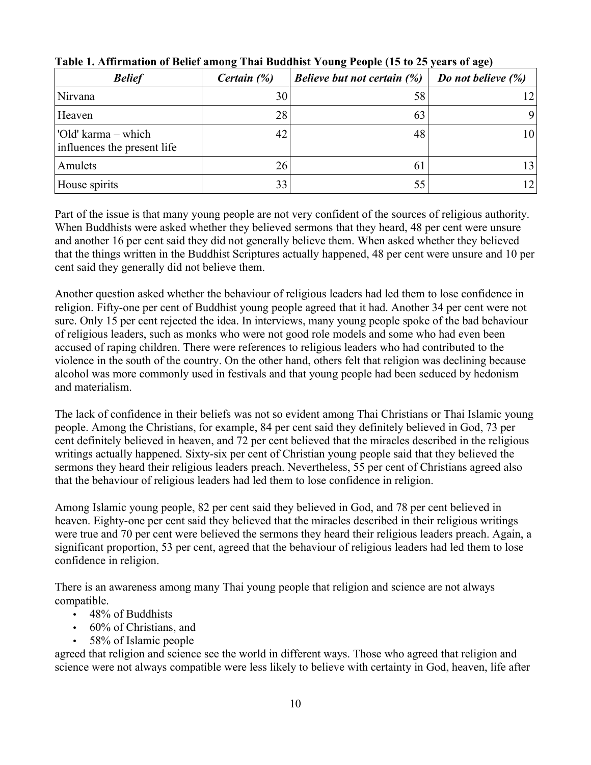| <b>Belief</b>                                      | Certain (%) | <b>Believe but not certain (%)</b> | Do not believe $(\%)$ |
|----------------------------------------------------|-------------|------------------------------------|-----------------------|
| Nirvana                                            | 30          | 58                                 |                       |
| Heaven                                             | 28          | 63                                 | 9                     |
| 'Old' karma – which<br>influences the present life | 42          | 48                                 | 10                    |
| Amulets                                            | 26          | 6                                  |                       |
| House spirits                                      | 33          | 55                                 |                       |

**Table 1. Affirmation of Belief among Thai Buddhist Young People (15 to 25 years of age)**

Part of the issue is that many young people are not very confident of the sources of religious authority. When Buddhists were asked whether they believed sermons that they heard, 48 per cent were unsure and another 16 per cent said they did not generally believe them. When asked whether they believed that the things written in the Buddhist Scriptures actually happened, 48 per cent were unsure and 10 per cent said they generally did not believe them.

Another question asked whether the behaviour of religious leaders had led them to lose confidence in religion. Fifty-one per cent of Buddhist young people agreed that it had. Another 34 per cent were not sure. Only 15 per cent rejected the idea. In interviews, many young people spoke of the bad behaviour of religious leaders, such as monks who were not good role models and some who had even been accused of raping children. There were references to religious leaders who had contributed to the violence in the south of the country. On the other hand, others felt that religion was declining because alcohol was more commonly used in festivals and that young people had been seduced by hedonism and materialism.

The lack of confidence in their beliefs was not so evident among Thai Christians or Thai Islamic young people. Among the Christians, for example, 84 per cent said they definitely believed in God, 73 per cent definitely believed in heaven, and 72 per cent believed that the miracles described in the religious writings actually happened. Sixty-six per cent of Christian young people said that they believed the sermons they heard their religious leaders preach. Nevertheless, 55 per cent of Christians agreed also that the behaviour of religious leaders had led them to lose confidence in religion.

Among Islamic young people, 82 per cent said they believed in God, and 78 per cent believed in heaven. Eighty-one per cent said they believed that the miracles described in their religious writings were true and 70 per cent were believed the sermons they heard their religious leaders preach. Again, a significant proportion, 53 per cent, agreed that the behaviour of religious leaders had led them to lose confidence in religion.

There is an awareness among many Thai young people that religion and science are not always compatible.

- 48% of Buddhists
- 60% of Christians, and
- 58% of Islamic people

agreed that religion and science see the world in different ways. Those who agreed that religion and science were not always compatible were less likely to believe with certainty in God, heaven, life after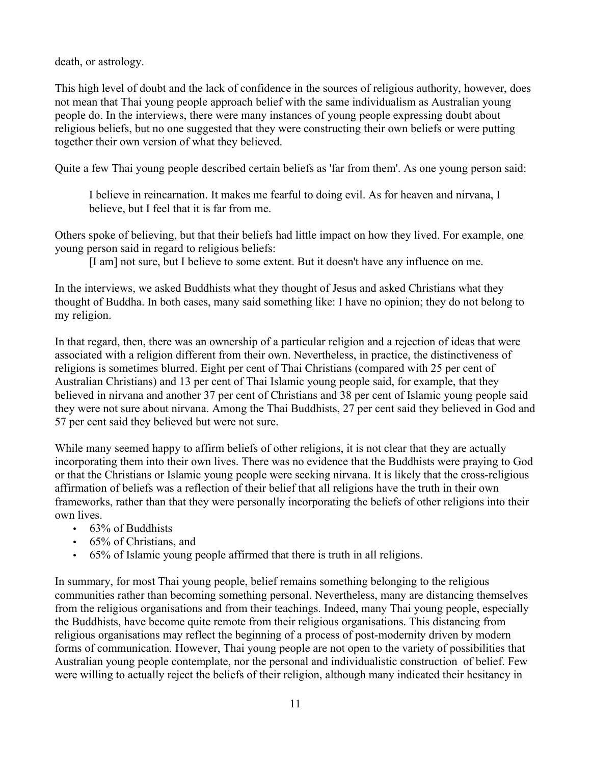death, or astrology.

This high level of doubt and the lack of confidence in the sources of religious authority, however, does not mean that Thai young people approach belief with the same individualism as Australian young people do. In the interviews, there were many instances of young people expressing doubt about religious beliefs, but no one suggested that they were constructing their own beliefs or were putting together their own version of what they believed.

Quite a few Thai young people described certain beliefs as 'far from them'. As one young person said:

I believe in reincarnation. It makes me fearful to doing evil. As for heaven and nirvana, I believe, but I feel that it is far from me.

Others spoke of believing, but that their beliefs had little impact on how they lived. For example, one young person said in regard to religious beliefs:

[I am] not sure, but I believe to some extent. But it doesn't have any influence on me.

In the interviews, we asked Buddhists what they thought of Jesus and asked Christians what they thought of Buddha. In both cases, many said something like: I have no opinion; they do not belong to my religion.

In that regard, then, there was an ownership of a particular religion and a rejection of ideas that were associated with a religion different from their own. Nevertheless, in practice, the distinctiveness of religions is sometimes blurred. Eight per cent of Thai Christians (compared with 25 per cent of Australian Christians) and 13 per cent of Thai Islamic young people said, for example, that they believed in nirvana and another 37 per cent of Christians and 38 per cent of Islamic young people said they were not sure about nirvana. Among the Thai Buddhists, 27 per cent said they believed in God and 57 per cent said they believed but were not sure.

While many seemed happy to affirm beliefs of other religions, it is not clear that they are actually incorporating them into their own lives. There was no evidence that the Buddhists were praying to God or that the Christians or Islamic young people were seeking nirvana. It is likely that the cross-religious affirmation of beliefs was a reflection of their belief that all religions have the truth in their own frameworks, rather than that they were personally incorporating the beliefs of other religions into their own lives.

- $\cdot$  63% of Buddhists
- 65% of Christians, and
- 65% of Islamic young people affirmed that there is truth in all religions.

In summary, for most Thai young people, belief remains something belonging to the religious communities rather than becoming something personal. Nevertheless, many are distancing themselves from the religious organisations and from their teachings. Indeed, many Thai young people, especially the Buddhists, have become quite remote from their religious organisations. This distancing from religious organisations may reflect the beginning of a process of post-modernity driven by modern forms of communication. However, Thai young people are not open to the variety of possibilities that Australian young people contemplate, nor the personal and individualistic construction of belief. Few were willing to actually reject the beliefs of their religion, although many indicated their hesitancy in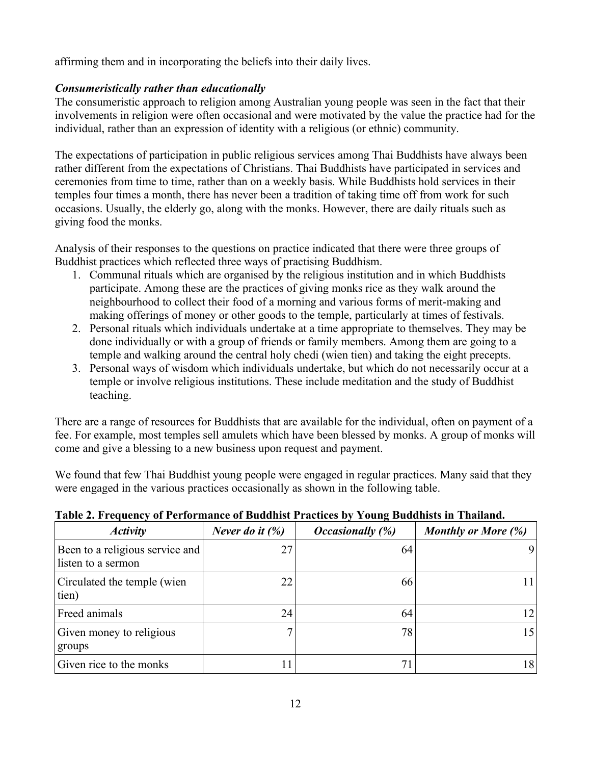affirming them and in incorporating the beliefs into their daily lives.

# *Consumeristically rather than educationally*

The consumeristic approach to religion among Australian young people was seen in the fact that their involvements in religion were often occasional and were motivated by the value the practice had for the individual, rather than an expression of identity with a religious (or ethnic) community.

The expectations of participation in public religious services among Thai Buddhists have always been rather different from the expectations of Christians. Thai Buddhists have participated in services and ceremonies from time to time, rather than on a weekly basis. While Buddhists hold services in their temples four times a month, there has never been a tradition of taking time off from work for such occasions. Usually, the elderly go, along with the monks. However, there are daily rituals such as giving food the monks.

Analysis of their responses to the questions on practice indicated that there were three groups of Buddhist practices which reflected three ways of practising Buddhism.

- 1. Communal rituals which are organised by the religious institution and in which Buddhists participate. Among these are the practices of giving monks rice as they walk around the neighbourhood to collect their food of a morning and various forms of merit-making and making offerings of money or other goods to the temple, particularly at times of festivals.
- 2. Personal rituals which individuals undertake at a time appropriate to themselves. They may be done individually or with a group of friends or family members. Among them are going to a temple and walking around the central holy chedi (wien tien) and taking the eight precepts.
- 3. Personal ways of wisdom which individuals undertake, but which do not necessarily occur at a temple or involve religious institutions. These include meditation and the study of Buddhist teaching.

There are a range of resources for Buddhists that are available for the individual, often on payment of a fee. For example, most temples sell amulets which have been blessed by monks. A group of monks will come and give a blessing to a new business upon request and payment.

We found that few Thai Buddhist young people were engaged in regular practices. Many said that they were engaged in the various practices occasionally as shown in the following table.

| <b>Activity</b>                                       | Never do it $(\%)$ | <b>Occasionally</b> (%) | <b>Monthly or More (%)</b> |
|-------------------------------------------------------|--------------------|-------------------------|----------------------------|
| Been to a religious service and<br>listen to a sermon | 27                 | 64                      | 9                          |
| Circulated the temple (wien<br>tien)                  | 22                 | 66                      | 11                         |
| Freed animals                                         | 24                 | 64                      | 12                         |
| Given money to religious<br>groups                    | 7                  | 78                      | 15                         |
| Given rice to the monks                               |                    | 7 <sub>1</sub>          | 18                         |

# **Table 2. Frequency of Performance of Buddhist Practices by Young Buddhists in Thailand.**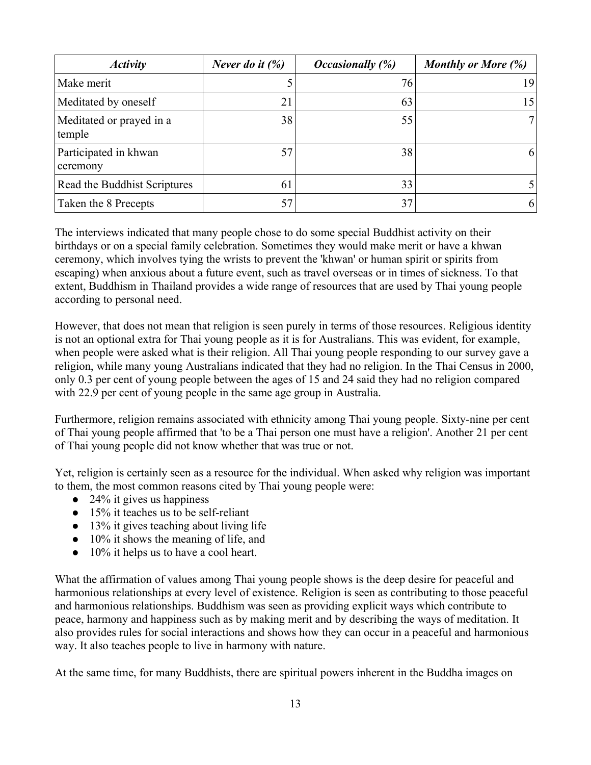| <b>Activity</b>                    | Never do it $(\%)$ | <i><b>Occasionally</b></i> (%) | Monthly or More (%) |
|------------------------------------|--------------------|--------------------------------|---------------------|
| Make merit                         |                    | 76                             | 9                   |
| Meditated by oneself               | 21                 | 63                             | 15                  |
| Meditated or prayed in a<br>temple | 38                 | 55                             |                     |
| Participated in khwan<br>ceremony  | 57                 | 38                             | 6                   |
| Read the Buddhist Scriptures       | 61                 | 33                             |                     |
| Taken the 8 Precepts               | 57                 | 37                             | 6                   |

The interviews indicated that many people chose to do some special Buddhist activity on their birthdays or on a special family celebration. Sometimes they would make merit or have a khwan ceremony, which involves tying the wrists to prevent the 'khwan' or human spirit or spirits from escaping) when anxious about a future event, such as travel overseas or in times of sickness. To that extent, Buddhism in Thailand provides a wide range of resources that are used by Thai young people according to personal need.

However, that does not mean that religion is seen purely in terms of those resources. Religious identity is not an optional extra for Thai young people as it is for Australians. This was evident, for example, when people were asked what is their religion. All Thai young people responding to our survey gave a religion, while many young Australians indicated that they had no religion. In the Thai Census in 2000, only 0.3 per cent of young people between the ages of 15 and 24 said they had no religion compared with 22.9 per cent of young people in the same age group in Australia.

Furthermore, religion remains associated with ethnicity among Thai young people. Sixty-nine per cent of Thai young people affirmed that 'to be a Thai person one must have a religion'. Another 21 per cent of Thai young people did not know whether that was true or not.

Yet, religion is certainly seen as a resource for the individual. When asked why religion was important to them, the most common reasons cited by Thai young people were:

- $\bullet$  24% it gives us happiness
- $\bullet$  15% it teaches us to be self-reliant
- 13% it gives teaching about living life
- 10% it shows the meaning of life, and
- 10% it helps us to have a cool heart.

What the affirmation of values among Thai young people shows is the deep desire for peaceful and harmonious relationships at every level of existence. Religion is seen as contributing to those peaceful and harmonious relationships. Buddhism was seen as providing explicit ways which contribute to peace, harmony and happiness such as by making merit and by describing the ways of meditation. It also provides rules for social interactions and shows how they can occur in a peaceful and harmonious way. It also teaches people to live in harmony with nature.

At the same time, for many Buddhists, there are spiritual powers inherent in the Buddha images on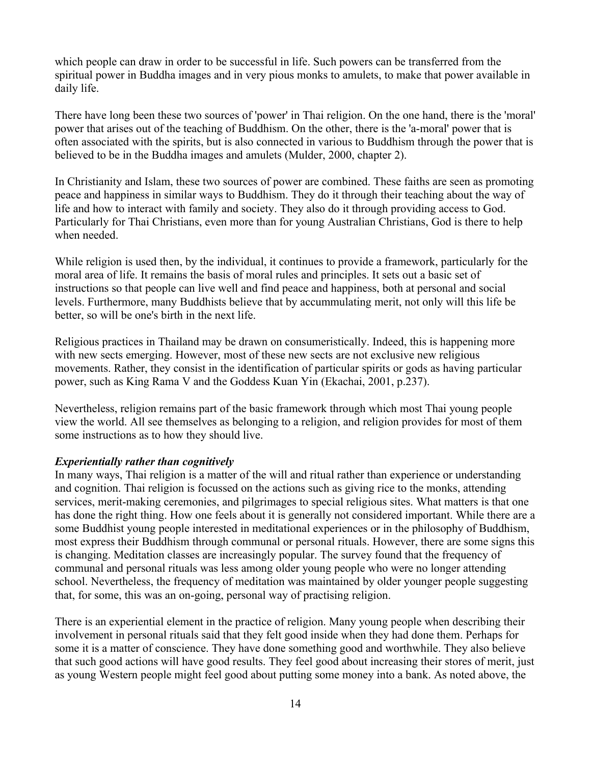which people can draw in order to be successful in life. Such powers can be transferred from the spiritual power in Buddha images and in very pious monks to amulets, to make that power available in daily life.

There have long been these two sources of 'power' in Thai religion. On the one hand, there is the 'moral' power that arises out of the teaching of Buddhism. On the other, there is the 'a-moral' power that is often associated with the spirits, but is also connected in various to Buddhism through the power that is believed to be in the Buddha images and amulets (Mulder, 2000, chapter 2).

In Christianity and Islam, these two sources of power are combined. These faiths are seen as promoting peace and happiness in similar ways to Buddhism. They do it through their teaching about the way of life and how to interact with family and society. They also do it through providing access to God. Particularly for Thai Christians, even more than for young Australian Christians, God is there to help when needed.

While religion is used then, by the individual, it continues to provide a framework, particularly for the moral area of life. It remains the basis of moral rules and principles. It sets out a basic set of instructions so that people can live well and find peace and happiness, both at personal and social levels. Furthermore, many Buddhists believe that by accummulating merit, not only will this life be better, so will be one's birth in the next life.

Religious practices in Thailand may be drawn on consumeristically. Indeed, this is happening more with new sects emerging. However, most of these new sects are not exclusive new religious movements. Rather, they consist in the identification of particular spirits or gods as having particular power, such as King Rama V and the Goddess Kuan Yin (Ekachai, 2001, p.237).

Nevertheless, religion remains part of the basic framework through which most Thai young people view the world. All see themselves as belonging to a religion, and religion provides for most of them some instructions as to how they should live.

#### *Experientially rather than cognitively*

In many ways, Thai religion is a matter of the will and ritual rather than experience or understanding and cognition. Thai religion is focussed on the actions such as giving rice to the monks, attending services, merit-making ceremonies, and pilgrimages to special religious sites. What matters is that one has done the right thing. How one feels about it is generally not considered important. While there are a some Buddhist young people interested in meditational experiences or in the philosophy of Buddhism, most express their Buddhism through communal or personal rituals. However, there are some signs this is changing. Meditation classes are increasingly popular. The survey found that the frequency of communal and personal rituals was less among older young people who were no longer attending school. Nevertheless, the frequency of meditation was maintained by older younger people suggesting that, for some, this was an on-going, personal way of practising religion.

There is an experiential element in the practice of religion. Many young people when describing their involvement in personal rituals said that they felt good inside when they had done them. Perhaps for some it is a matter of conscience. They have done something good and worthwhile. They also believe that such good actions will have good results. They feel good about increasing their stores of merit, just as young Western people might feel good about putting some money into a bank. As noted above, the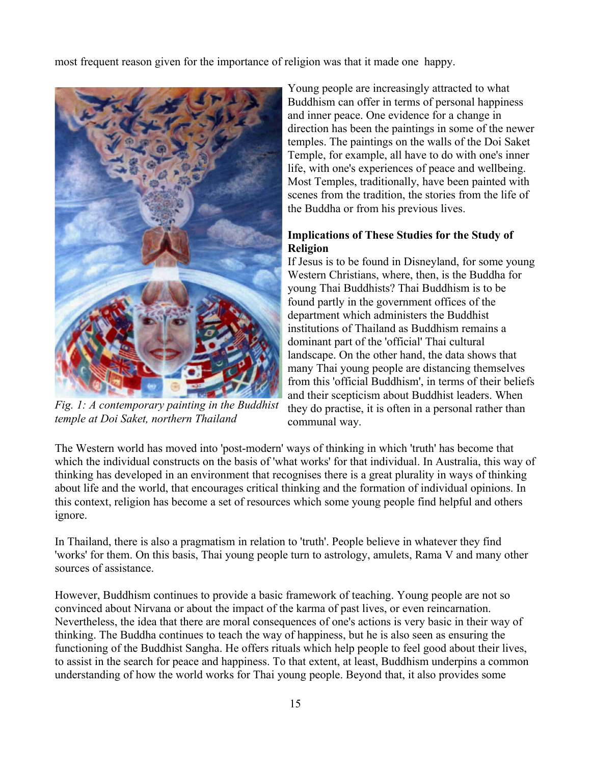most frequent reason given for the importance of religion was that it made one happy.



*Fig. 1: A contemporary painting in the Buddhist temple at Doi Saket, northern Thailand*

Young people are increasingly attracted to what Buddhism can offer in terms of personal happiness and inner peace. One evidence for a change in direction has been the paintings in some of the newer temples. The paintings on the walls of the Doi Saket Temple, for example, all have to do with one's inner life, with one's experiences of peace and wellbeing. Most Temples, traditionally, have been painted with scenes from the tradition, the stories from the life of the Buddha or from his previous lives.

## **Implications of These Studies for the Study of Religion**

If Jesus is to be found in Disneyland, for some young Western Christians, where, then, is the Buddha for young Thai Buddhists? Thai Buddhism is to be found partly in the government offices of the department which administers the Buddhist institutions of Thailand as Buddhism remains a dominant part of the 'official' Thai cultural landscape. On the other hand, the data shows that many Thai young people are distancing themselves from this 'official Buddhism', in terms of their beliefs and their scepticism about Buddhist leaders. When they do practise, it is often in a personal rather than communal way.

The Western world has moved into 'post-modern' ways of thinking in which 'truth' has become that which the individual constructs on the basis of 'what works' for that individual. In Australia, this way of thinking has developed in an environment that recognises there is a great plurality in ways of thinking about life and the world, that encourages critical thinking and the formation of individual opinions. In this context, religion has become a set of resources which some young people find helpful and others ignore.

In Thailand, there is also a pragmatism in relation to 'truth'. People believe in whatever they find 'works' for them. On this basis, Thai young people turn to astrology, amulets, Rama V and many other sources of assistance.

However, Buddhism continues to provide a basic framework of teaching. Young people are not so convinced about Nirvana or about the impact of the karma of past lives, or even reincarnation. Nevertheless, the idea that there are moral consequences of one's actions is very basic in their way of thinking. The Buddha continues to teach the way of happiness, but he is also seen as ensuring the functioning of the Buddhist Sangha. He offers rituals which help people to feel good about their lives, to assist in the search for peace and happiness. To that extent, at least, Buddhism underpins a common understanding of how the world works for Thai young people. Beyond that, it also provides some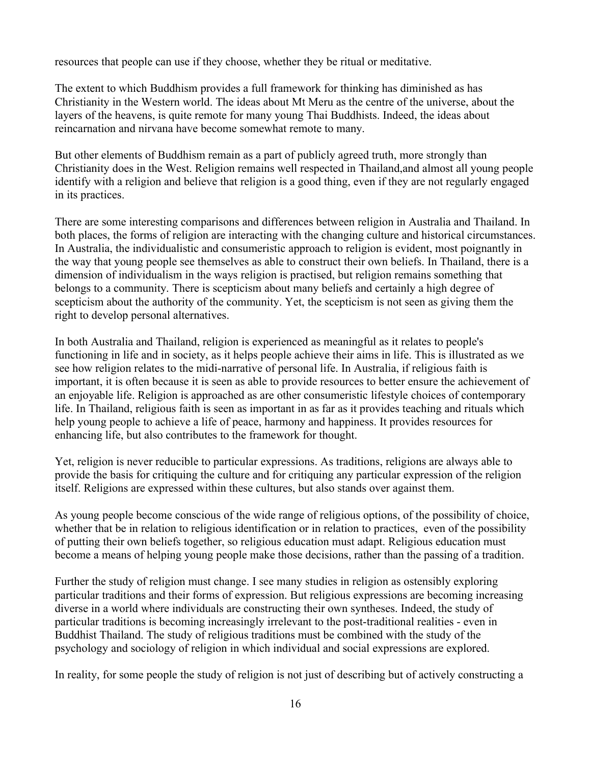resources that people can use if they choose, whether they be ritual or meditative.

The extent to which Buddhism provides a full framework for thinking has diminished as has Christianity in the Western world. The ideas about Mt Meru as the centre of the universe, about the layers of the heavens, is quite remote for many young Thai Buddhists. Indeed, the ideas about reincarnation and nirvana have become somewhat remote to many.

But other elements of Buddhism remain as a part of publicly agreed truth, more strongly than Christianity does in the West. Religion remains well respected in Thailand,and almost all young people identify with a religion and believe that religion is a good thing, even if they are not regularly engaged in its practices.

There are some interesting comparisons and differences between religion in Australia and Thailand. In both places, the forms of religion are interacting with the changing culture and historical circumstances. In Australia, the individualistic and consumeristic approach to religion is evident, most poignantly in the way that young people see themselves as able to construct their own beliefs. In Thailand, there is a dimension of individualism in the ways religion is practised, but religion remains something that belongs to a community. There is scepticism about many beliefs and certainly a high degree of scepticism about the authority of the community. Yet, the scepticism is not seen as giving them the right to develop personal alternatives.

In both Australia and Thailand, religion is experienced as meaningful as it relates to people's functioning in life and in society, as it helps people achieve their aims in life. This is illustrated as we see how religion relates to the midi-narrative of personal life. In Australia, if religious faith is important, it is often because it is seen as able to provide resources to better ensure the achievement of an enjoyable life. Religion is approached as are other consumeristic lifestyle choices of contemporary life. In Thailand, religious faith is seen as important in as far as it provides teaching and rituals which help young people to achieve a life of peace, harmony and happiness. It provides resources for enhancing life, but also contributes to the framework for thought.

Yet, religion is never reducible to particular expressions. As traditions, religions are always able to provide the basis for critiquing the culture and for critiquing any particular expression of the religion itself. Religions are expressed within these cultures, but also stands over against them.

As young people become conscious of the wide range of religious options, of the possibility of choice, whether that be in relation to religious identification or in relation to practices, even of the possibility of putting their own beliefs together, so religious education must adapt. Religious education must become a means of helping young people make those decisions, rather than the passing of a tradition.

Further the study of religion must change. I see many studies in religion as ostensibly exploring particular traditions and their forms of expression. But religious expressions are becoming increasing diverse in a world where individuals are constructing their own syntheses. Indeed, the study of particular traditions is becoming increasingly irrelevant to the post-traditional realities - even in Buddhist Thailand. The study of religious traditions must be combined with the study of the psychology and sociology of religion in which individual and social expressions are explored.

In reality, for some people the study of religion is not just of describing but of actively constructing a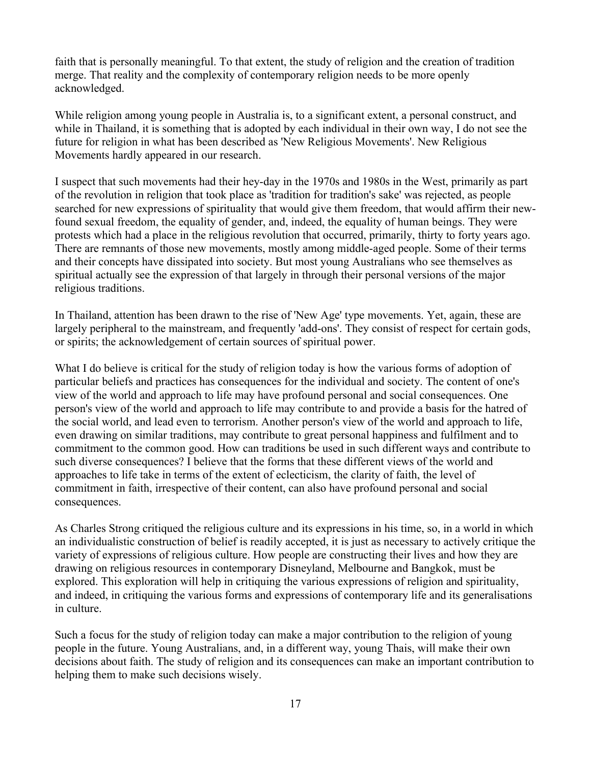faith that is personally meaningful. To that extent, the study of religion and the creation of tradition merge. That reality and the complexity of contemporary religion needs to be more openly acknowledged.

While religion among young people in Australia is, to a significant extent, a personal construct, and while in Thailand, it is something that is adopted by each individual in their own way, I do not see the future for religion in what has been described as 'New Religious Movements'. New Religious Movements hardly appeared in our research.

I suspect that such movements had their hey-day in the 1970s and 1980s in the West, primarily as part of the revolution in religion that took place as 'tradition for tradition's sake' was rejected, as people searched for new expressions of spirituality that would give them freedom, that would affirm their newfound sexual freedom, the equality of gender, and, indeed, the equality of human beings. They were protests which had a place in the religious revolution that occurred, primarily, thirty to forty years ago. There are remnants of those new movements, mostly among middle-aged people. Some of their terms and their concepts have dissipated into society. But most young Australians who see themselves as spiritual actually see the expression of that largely in through their personal versions of the major religious traditions.

In Thailand, attention has been drawn to the rise of 'New Age' type movements. Yet, again, these are largely peripheral to the mainstream, and frequently 'add-ons'. They consist of respect for certain gods, or spirits; the acknowledgement of certain sources of spiritual power.

What I do believe is critical for the study of religion today is how the various forms of adoption of particular beliefs and practices has consequences for the individual and society. The content of one's view of the world and approach to life may have profound personal and social consequences. One person's view of the world and approach to life may contribute to and provide a basis for the hatred of the social world, and lead even to terrorism. Another person's view of the world and approach to life, even drawing on similar traditions, may contribute to great personal happiness and fulfilment and to commitment to the common good. How can traditions be used in such different ways and contribute to such diverse consequences? I believe that the forms that these different views of the world and approaches to life take in terms of the extent of eclecticism, the clarity of faith, the level of commitment in faith, irrespective of their content, can also have profound personal and social consequences.

As Charles Strong critiqued the religious culture and its expressions in his time, so, in a world in which an individualistic construction of belief is readily accepted, it is just as necessary to actively critique the variety of expressions of religious culture. How people are constructing their lives and how they are drawing on religious resources in contemporary Disneyland, Melbourne and Bangkok, must be explored. This exploration will help in critiquing the various expressions of religion and spirituality, and indeed, in critiquing the various forms and expressions of contemporary life and its generalisations in culture.

Such a focus for the study of religion today can make a major contribution to the religion of young people in the future. Young Australians, and, in a different way, young Thais, will make their own decisions about faith. The study of religion and its consequences can make an important contribution to helping them to make such decisions wisely.